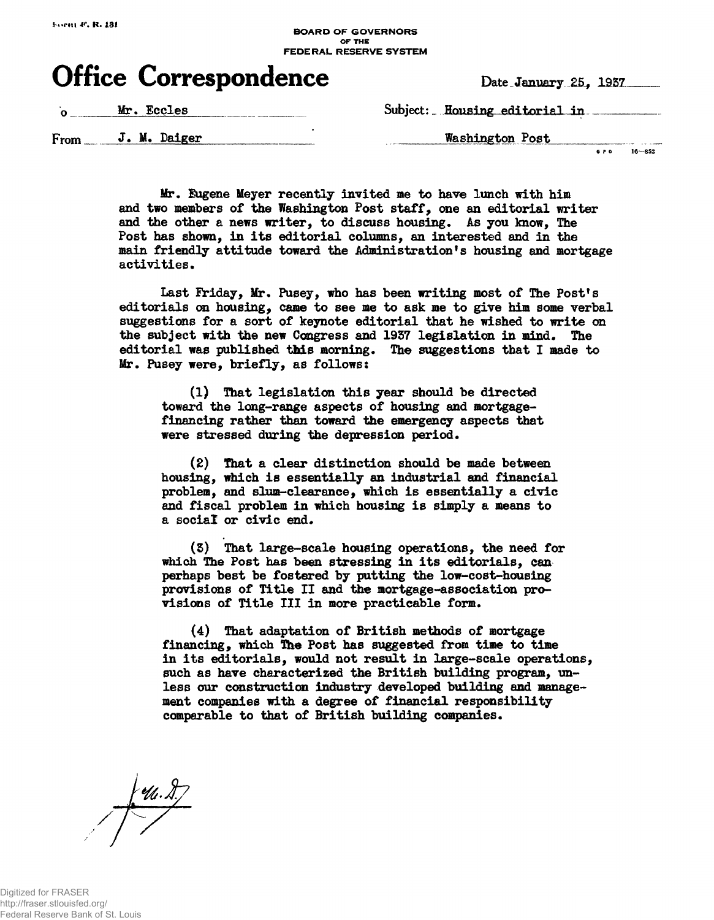## **BOARD OF GOVERNORS FEDERAL RESERVE SYSTEM**

## Office Correspondence Date January 25, 1937

**Ar. Eccles** Subject: Housing editorial in

From J. M. Daiger Washington Post

**6 f 0 16—852**

Mr. Eugene Meyer recently invited me to have lunch with him **and two members of the Washington Post staff, one an editorial writer** and the other a news writer, to discuss housing. As you know, The **Post has shown, in its editorial columns, an interested and in the main friendly attitude toward the Administration's housing and mortgage** activities.

**Last Eriday, Mr, Pusey, who has been writing most of The Post's editorials on housing, came to see me to ask me to give him some verbal suggestions for a sort of keynote editorial that he wished to write on the subject with the new Congress and 1957 legislation in mind. The editorial was published this morning. The suggestions that I made to Mr. Pusey were, briefly, as follows:**

**(1) That legislation this year should be directed toward the long-range aspects of housing and mortgagefinancing rather than toward the emergency aspects that were stressed during the depression period.**

**(2) That a clear distinction should be made between housing, which is essentially an industrial and financial problem, and slum-clearance, which is essentially a civic and fiscal problem in which housing is simply a means to a social or civic end.**

**(5) That large-scale housing operations, the need for which The Post has been stressing in its editorials, can perhaps best be fostered by putting the low-cost-housing provisions of Title II and the mortgage-association provisions of Title III in more practicable form.**

**(4) That adaptation of British methods of mortgage financing, which The Post has suggested from time to time in its editorials, would not result in large-scale operations, such as have characterized the British building program, unless our construction industry developed building and management companies with a degree of financial responsibility comparable to that of British building companies.**

 $f(u, \lambda)$